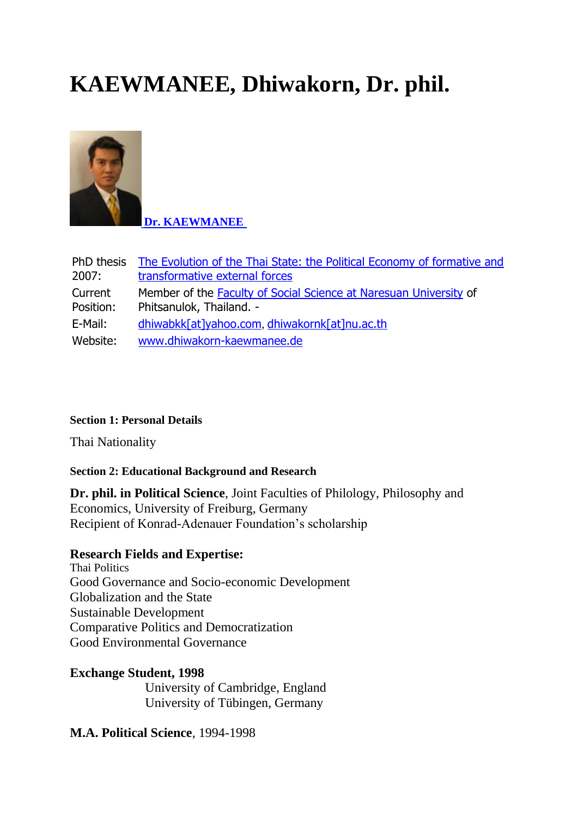# **KAEWMANEE, Dhiwakorn, Dr. phil.**



**[Dr. KAEWMANEE](http://webmail.nu.ac.th/owa/redir.aspx?C=uFIhYH06SUO-7uG4yhsmAxPcKWvne9AIRmnBSSZHd1YtGl_OcBJQU_v4sSiRMXe2h2l_f-6OZMo.&URL=http%3a%2f%2fwww.southeastasianstudies.uni-freiburg.de%2fproject%2520networks%2falumni-network-1%2fdhiwakorn-kaewmanee-dr.-phil%2fimages%2fbild.jpg%3fisImage%3d1)**

| PhD thesis | The Evolution of the Thai State: the Political Economy of formative and |
|------------|-------------------------------------------------------------------------|
| 2007:      | transformative external forces                                          |
| Current    | Member of the Faculty of Social Science at Naresuan University of       |
| Position:  | Phitsanulok, Thailand. -                                                |
| E-Mail:    | dhiwabkk[at]yahoo.com, dhiwakornk[at]nu.ac.th                           |
| Website:   | www.dhiwakorn-kaewmanee.de                                              |

## **Section 1: Personal Details**

Thai Nationality

## **Section 2: Educational Background and Research**

**Dr. phil. in Political Science**, Joint Faculties of Philology, Philosophy and Economics, University of Freiburg, Germany Recipient of Konrad-Adenauer Foundation's scholarship

## **Research Fields and Expertise:**

Thai Politics Good Governance and Socio-economic Development Globalization and the State Sustainable Development Comparative Politics and Democratization Good Environmental Governance

**Exchange Student, 1998** University of Cambridge, England University of Tübingen, Germany

## **M.A. Political Science**, 1994-1998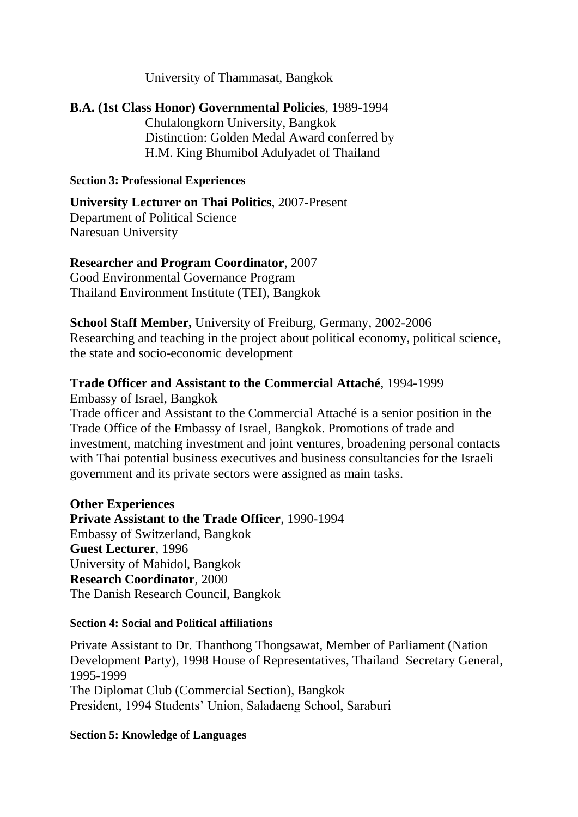University of Thammasat, Bangkok

# **B.A. (1st Class Honor) Governmental Policies**, 1989-1994 Chulalongkorn University, Bangkok Distinction: Golden Medal Award conferred by H.M. King Bhumibol Adulyadet of Thailand

#### **Section 3: Professional Experiences**

**University Lecturer on Thai Politics**, 2007-Present Department of Political Science Naresuan University

## **Researcher and Program Coordinator**, 2007

Good Environmental Governance Program Thailand Environment Institute (TEI), Bangkok

**School Staff Member,** University of Freiburg, Germany, 2002-2006 Researching and teaching in the project about political economy, political science, the state and socio-economic development

## **Trade Officer and Assistant to the Commercial Attaché**, 1994-1999

Embassy of Israel, Bangkok

Trade officer and Assistant to the Commercial Attaché is a senior position in the Trade Office of the Embassy of Israel, Bangkok. Promotions of trade and investment, matching investment and joint ventures, broadening personal contacts with Thai potential business executives and business consultancies for the Israeli government and its private sectors were assigned as main tasks.

## **Other Experiences**

**Private Assistant to the Trade Officer**, 1990-1994 Embassy of Switzerland, Bangkok **Guest Lecturer**, 1996 University of Mahidol, Bangkok **Research Coordinator**, 2000 The Danish Research Council, Bangkok

#### **Section 4: Social and Political affiliations**

Private Assistant to Dr. Thanthong Thongsawat, Member of Parliament (Nation Development Party), 1998 House of Representatives, Thailand Secretary General, 1995-1999 The Diplomat Club (Commercial Section), Bangkok President, 1994 Students' Union, Saladaeng School, Saraburi

#### **Section 5: Knowledge of Languages**